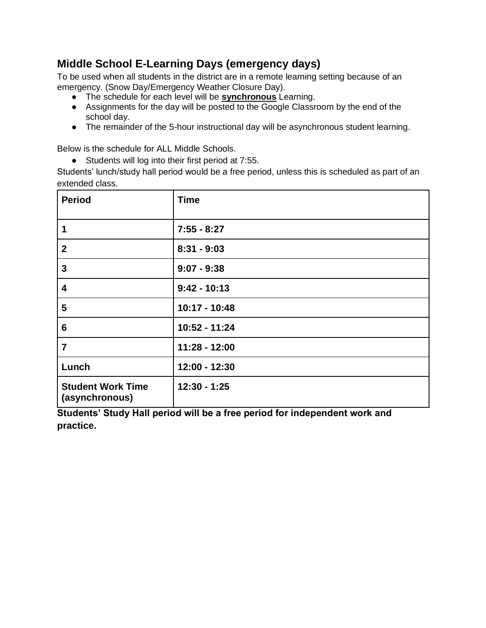## **Middle School E-Learning Days (emergency days)**

To be used when all students in the district are in a remote learning setting because of an emergency. (Snow Day/Emergency Weather Closure Day).

- The schedule for each level will be **synchronous** Learning.
- Assignments for the day will be posted to the Google Classroom by the end of the school day.
- The remainder of the 5-hour instructional day will be asynchronous student learning.

Below is the schedule for ALL Middle Schools.

● Students will log into their first period at 7:55.

Students' lunch/study hall period would be a free period, unless this is scheduled as part of an extended class.

| <b>Period</b>                              | <b>Time</b>    |
|--------------------------------------------|----------------|
| 1                                          | $7:55 - 8:27$  |
| $\boldsymbol{2}$                           | $8:31 - 9:03$  |
| 3                                          | $9:07 - 9:38$  |
| 4                                          | $9:42 - 10:13$ |
| 5                                          | 10:17 - 10:48  |
| $6\phantom{1}6$                            | 10:52 - 11:24  |
| $\overline{7}$                             | 11:28 - 12:00  |
| Lunch                                      | 12:00 - 12:30  |
| <b>Student Work Time</b><br>(asynchronous) | $12:30 - 1:25$ |

**Students' Study Hall period will be a free period for independent work and practice.**